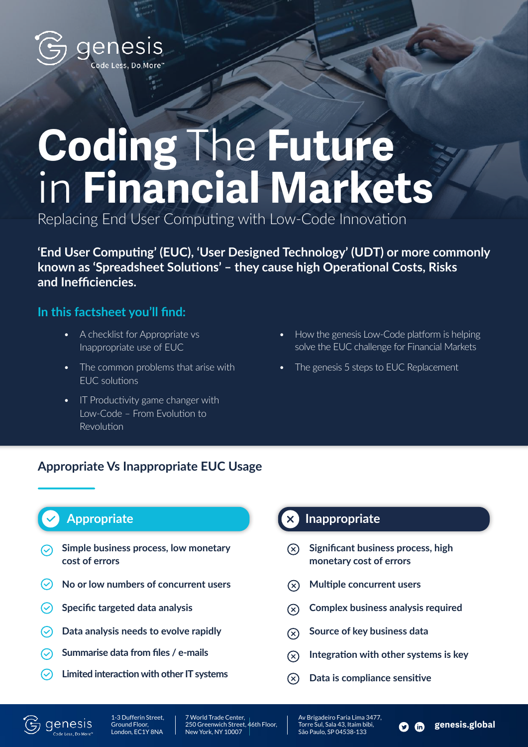

# **Coding** The **Future**  in **Financial Markets**

Replacing End User Computing with Low-Code Innovation

**'End User Computing' (EUC), 'User Designed Technology' (UDT) or more commonly known as 'Spreadsheet Solutions' – they cause high Operational Costs, Risks and Inefficiencies.** 

#### **In this factsheet you'll find:**

- A checklist for Appropriate vs Inappropriate use of EUC
- The common problems that arise with EUC solutions
- How the genesis Low-Code platform is helping solve the EUC challenge for Financial Markets
- The genesis 5 steps to EUC Replacement
- IT Productivity game changer with Low-Code – From Evolution to Revolution

### **Appropriate Vs Inappropriate EUC Usage**

## **Appropriate**

- **Simple business process, low monetary cost of errors**
- $\odot$ **No or low numbers of concurrent users**
- $\odot$ **Specific targeted data analysis**
- **Data analysis needs to evolve rapidly**  $\odot$
- **Summarise data from files / e-mails**
- **Limited interaction with other IT systems**  $\odot$

### **Inappropriate**

- **Significant business process, high**   $\mathcal{R}$ **monetary cost of errors**
- **Multiple concurrent users**  $\Omega$
- **Complex business analysis required**  $\Omega$
- **Source of key business data**  $\mathcal{R}$
- **Integration with other systems is key**  $\Omega$

 $\bullet$   $\bullet$ 

**genesis.global**

**Data is compliance sensitive**  $(\mathsf{x})$ 



1-3 Dufferin Street, Ground Floor, London, EC1Y 8NA

7 World Trade Center, 250 Greenwich Street, 46th Floor, New York, NY 10007

Av Brigadeiro Faria Lima 3477, Torre Sul, Sala 43, Itaim bibi, São Paulo, SP 04538-133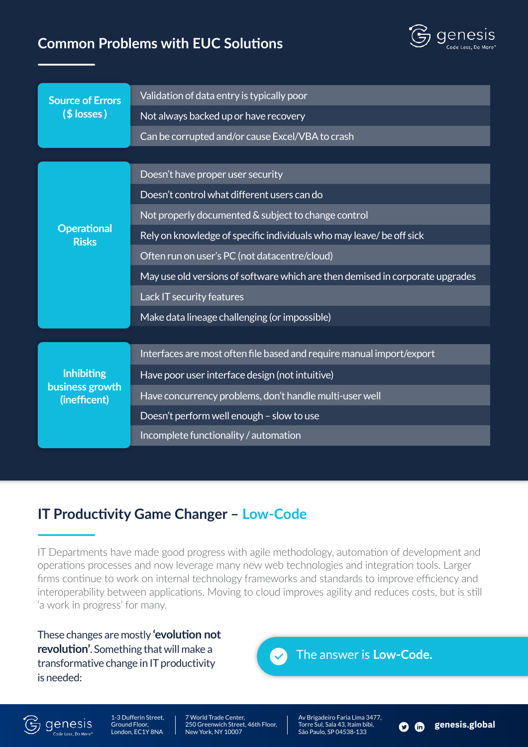## **Common Problems with EUC Solutions**



| <b>Source of Errors</b><br>$($$ losses)              | Validation of data entry is typically poor                                    |
|------------------------------------------------------|-------------------------------------------------------------------------------|
|                                                      | Not always backed up or have recovery                                         |
|                                                      | Can be corrupted and/or cause Excel/VBA to crash                              |
|                                                      |                                                                               |
| <b>Operational</b><br><b>Risks</b>                   | Doesn't have proper user security                                             |
|                                                      | Doesn't control what different users can do                                   |
|                                                      | Not properly documented & subject to change control                           |
|                                                      | Rely on knowledge of specific individuals who may leave/ be off sick          |
|                                                      | Often run on user's PC (not datacentre/cloud)                                 |
|                                                      | May use old versions of software which are then demised in corporate upgrades |
|                                                      | Lack IT security features                                                     |
|                                                      | Make data lineage challenging (or impossible)                                 |
|                                                      |                                                                               |
| <b>Inhibiting</b><br>business growth<br>(inefficent) | Interfaces are most often file based and require manual import/export         |
|                                                      | Have poor user interface design (not intuitive)                               |
|                                                      | Have concurrency problems, don't handle multi-user well                       |
|                                                      | Doesn't perform well enough - slow to use                                     |
|                                                      | Incomplete functionality / automation                                         |

## **IT Productivity Game Changer – Low-Code**

IT Departments have made good progress with agile methodology, automation of development and operations processes and now leverage many new web technologies and integration tools. Larger firms continue to work on internal technology frameworks and standards to improve efficiency and interoperability between applications. Moving to cloud improves agility and reduces costs, but is still 'a work in progress' for many.

These changes are mostly **'evolution not revolution'**. Something that will make a transformative change in IT productivity is needed:





.<br>Code Less, Do More'

1-3 Dufferin Street, Ground Floor, London, EC1Y 8NA

7 World Trade Center, 250 Greenwich Street, 46th Floor, New York, NY 10007

Av Brigadeiro Faria Lima 3477, Torre Sul, Sala 43, Itaim bibi, São Paulo, SP 04538-133